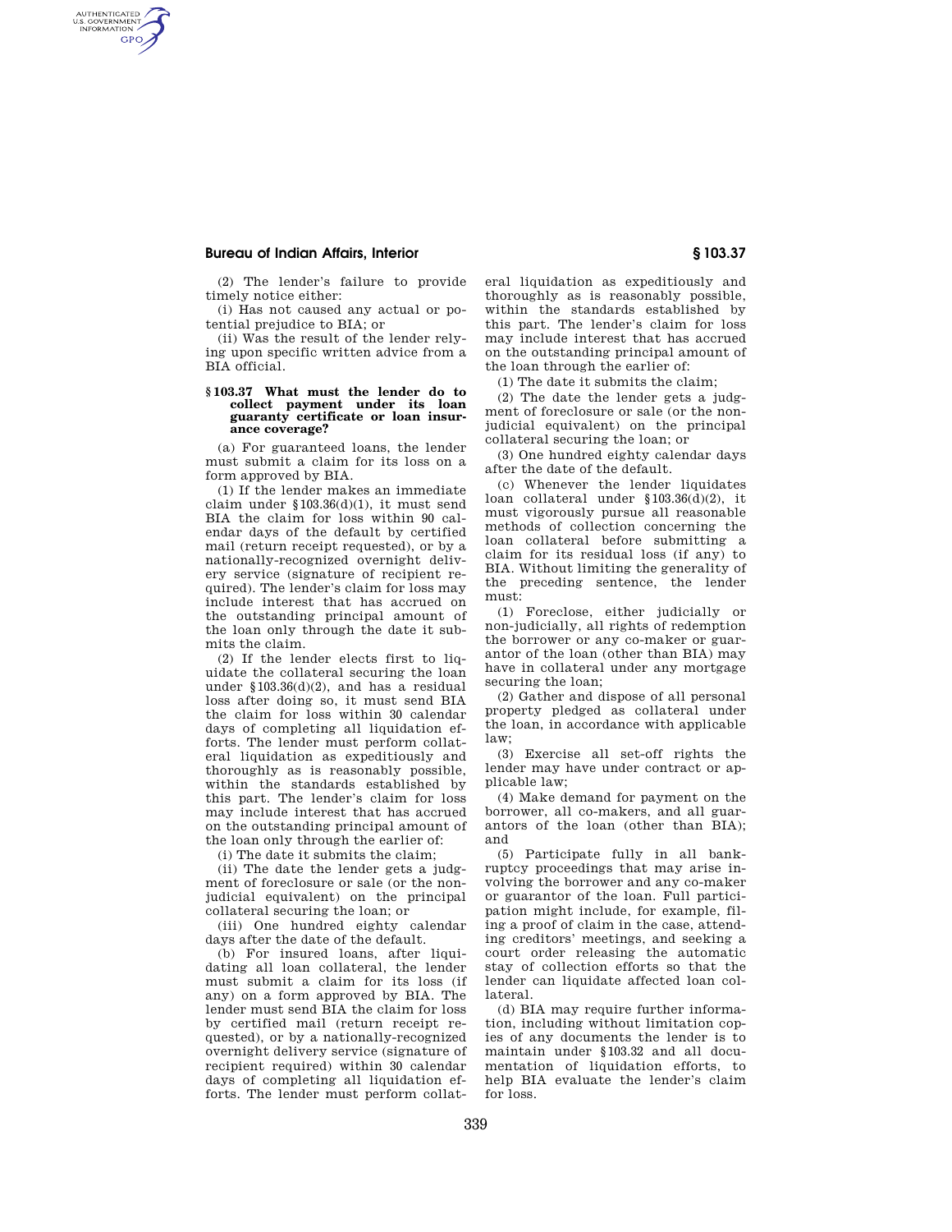## **Bureau of Indian Affairs, Interior § 103.37**

AUTHENTICATED<br>U.S. GOVERNMENT<br>INFORMATION **GPO** 

> (2) The lender's failure to provide timely notice either:

> (i) Has not caused any actual or potential prejudice to BIA; or

> (ii) Was the result of the lender relying upon specific written advice from a BIA official.

#### **§ 103.37 What must the lender do to collect payment under its loan guaranty certificate or loan insurance coverage?**

(a) For guaranteed loans, the lender must submit a claim for its loss on a form approved by BIA.

(1) If the lender makes an immediate claim under §103.36(d)(1), it must send BIA the claim for loss within 90 calendar days of the default by certified mail (return receipt requested), or by a nationally-recognized overnight delivery service (signature of recipient required). The lender's claim for loss may include interest that has accrued on the outstanding principal amount of the loan only through the date it submits the claim.

(2) If the lender elects first to liquidate the collateral securing the loan under §103.36(d)(2), and has a residual loss after doing so, it must send BIA the claim for loss within 30 calendar days of completing all liquidation efforts. The lender must perform collateral liquidation as expeditiously and thoroughly as is reasonably possible, within the standards established by this part. The lender's claim for loss may include interest that has accrued on the outstanding principal amount of the loan only through the earlier of:

(i) The date it submits the claim;

(ii) The date the lender gets a judgment of foreclosure or sale (or the nonjudicial equivalent) on the principal collateral securing the loan; or

(iii) One hundred eighty calendar days after the date of the default.

(b) For insured loans, after liquidating all loan collateral, the lender must submit a claim for its loss (if any) on a form approved by BIA. The lender must send BIA the claim for loss by certified mail (return receipt requested), or by a nationally-recognized overnight delivery service (signature of recipient required) within 30 calendar days of completing all liquidation efforts. The lender must perform collateral liquidation as expeditiously and thoroughly as is reasonably possible, within the standards established by this part. The lender's claim for loss may include interest that has accrued on the outstanding principal amount of the loan through the earlier of:

(1) The date it submits the claim;

(2) The date the lender gets a judgment of foreclosure or sale (or the nonjudicial equivalent) on the principal collateral securing the loan; or

(3) One hundred eighty calendar days after the date of the default.

(c) Whenever the lender liquidates loan collateral under  $$103.36(\bar{d})(2)$ , it must vigorously pursue all reasonable methods of collection concerning the loan collateral before submitting a claim for its residual loss (if any) to BIA. Without limiting the generality of the preceding sentence, the lender must:

(1) Foreclose, either judicially or non-judicially, all rights of redemption the borrower or any co-maker or guarantor of the loan (other than BIA) may have in collateral under any mortgage securing the loan;

(2) Gather and dispose of all personal property pledged as collateral under the loan, in accordance with applicable law;

(3) Exercise all set-off rights the lender may have under contract or applicable law;

(4) Make demand for payment on the borrower, all co-makers, and all guarantors of the loan (other than BIA); and

(5) Participate fully in all bankruptcy proceedings that may arise involving the borrower and any co-maker or guarantor of the loan. Full participation might include, for example, filing a proof of claim in the case, attending creditors' meetings, and seeking a court order releasing the automatic stay of collection efforts so that the lender can liquidate affected loan collateral.

(d) BIA may require further information, including without limitation copies of any documents the lender is to maintain under §103.32 and all documentation of liquidation efforts, to help BIA evaluate the lender's claim for loss.